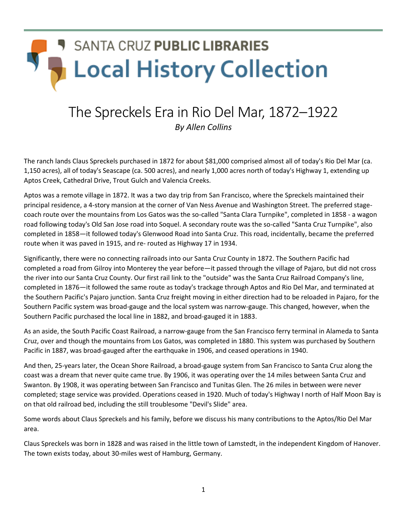## **SANTA CRUZ PUBLIC LIBRARIES Local History Collection**

## The Spreckels Era in Rio Del Mar, 1872–1922

*By Allen Collins*

The ranch lands Claus Spreckels purchased in 1872 for about \$81,000 comprised almost all of today's Rio Del Mar (ca. 1,150 acres), all of today's Seascape (ca. 500 acres), and nearly 1,000 acres north of today's Highway 1, extending up Aptos Creek, Cathedral Drive, Trout Gulch and Valencia Creeks.

Aptos was a remote village in 1872. It was a two day trip from San Francisco, where the Spreckels maintained their principal residence, a 4-story mansion at the corner of Van Ness Avenue and Washington Street. The preferred stagecoach route over the mountains from Los Gatos was the so-called "Santa Clara Turnpike", completed in 1858 - a wagon road following today's Old San Jose road into Soquel. A secondary route was the so-called "Santa Cruz Turnpike", also completed in 1858—it followed today's Glenwood Road into Santa Cruz. This road, incidentally, became the preferred route when it was paved in 1915, and re- routed as Highway 17 in 1934.

Significantly, there were no connecting railroads into our Santa Cruz County in 1872. The Southern Pacific had completed a road from Gilroy into Monterey the year before—it passed through the village of Pajaro, but did not cross the river into our Santa Cruz County. Our first rail link to the "outside" was the Santa Cruz Railroad Company's line, completed in 1876—it followed the same route as today's trackage through Aptos and Rio Del Mar, and terminated at the Southern Pacific's Pajaro junction. Santa Cruz freight moving in either direction had to be reloaded in Pajaro, for the Southern Pacific system was broad-gauge and the local system was narrow-gauge. This changed, however, when the Southern Pacific purchased the local line in 1882, and broad-gauged it in 1883.

As an aside, the South Pacific Coast Railroad, a narrow-gauge from the San Francisco ferry terminal in Alameda to Santa Cruz, over and though the mountains from Los Gatos, was completed in 1880. This system was purchased by Southern Pacific in 1887, was broad-gauged after the earthquake in 1906, and ceased operations in 1940.

And then, 25-years later, the Ocean Shore Railroad, a broad-gauge system from San Francisco to Santa Cruz along the coast was a dream that never quite came true. By 1906, it was operating over the 14 miles between Santa Cruz and Swanton. By 1908, it was operating between San Francisco and Tunitas Glen. The 26 miles in between were never completed; stage service was provided. Operations ceased in 1920. Much of today's Highway I north of Half Moon Bay is on that old railroad bed, including the still troublesome "Devil's Slide" area.

Some words about Claus Spreckels and his family, before we discuss his many contributions to the Aptos/Rio Del Mar area.

Claus Spreckels was born in 1828 and was raised in the little town of Lamstedt, in the independent Kingdom of Hanover. The town exists today, about 30-miles west of Hamburg, Germany.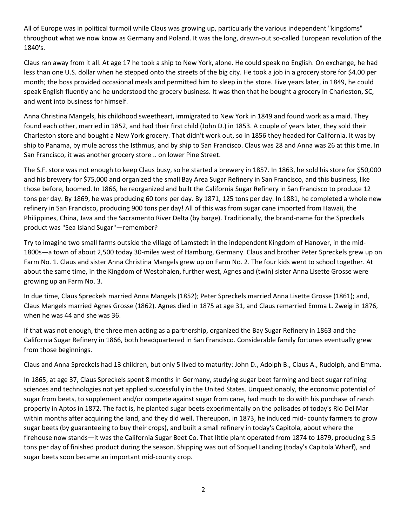All of Europe was in political turmoil while Claus was growing up, particularly the various independent "kingdoms" throughout what we now know as Germany and Poland. It was the long, drawn-out so-called European revolution of the 1840's.

Claus ran away from it all. At age 17 he took a ship to New York, alone. He could speak no English. On exchange, he had less than one U.S. dollar when he stepped onto the streets of the big city. He took a job in a grocery store for \$4.00 per month; the boss provided occasional meals and permitted him to sleep in the store. Five years later, in 1849, he could speak English fluently and he understood the grocery business. It was then that he bought a grocery in Charleston, SC, and went into business for himself.

Anna Christina Mangels, his childhood sweetheart, immigrated to New York in 1849 and found work as a maid. They found each other, married in 1852, and had their first child (John D.) in 1853. A couple of years later, they sold their Charleston store and bought a New York grocery. That didn't work out, so in 1856 they headed for California. It was by ship to Panama, by mule across the Isthmus, and by ship to San Francisco. Claus was 28 and Anna was 26 at this time. In San Francisco, it was another grocery store .. on lower Pine Street.

The S.F. store was not enough to keep Claus busy, so he started a brewery in 1857. In 1863, he sold his store for \$50,000 and his brewery for \$75,000 and organized the small Bay Area Sugar Refinery in San Francisco, and this business, like those before, boomed. In 1866, he reorganized and built the California Sugar Refinery in San Francisco to produce 12 tons per day. By 1869, he was producing 60 tons per day. By 1871, 125 tons per day. In 1881, he completed a whole new refinery in San Francisco, producing 900 tons per day! All of this was from sugar cane imported from Hawaii, the Philippines, China, Java and the Sacramento River Delta (by barge). Traditionally, the brand-name for the Spreckels product was "Sea Island Sugar"—remember?

Try to imagine two small farms outside the village of Lamstedt in the independent Kingdom of Hanover, in the mid-1800s—a town of about 2,500 today 30-miles west of Hamburg, Germany. Claus and brother Peter Spreckels grew up on Farm No. 1. Claus and sister Anna Christina Mangels grew up on Farm No. 2. The four kids went to school together. At about the same time, in the Kingdom of Westphalen, further west, Agnes and (twin) sister Anna Lisette Grosse were growing up an Farm No. 3.

In due time, Claus Spreckels married Anna Mangels (1852); Peter Spreckels married Anna Lisette Grosse (1861); and, Claus Mangels married Agnes Grosse (1862). Agnes died in 1875 at age 31, and Claus remarried Emma L. Zweig in 1876, when he was 44 and she was 36.

If that was not enough, the three men acting as a partnership, organized the Bay Sugar Refinery in 1863 and the California Sugar Refinery in 1866, both headquartered in San Francisco. Considerable family fortunes eventually grew from those beginnings.

Claus and Anna Spreckels had 13 children, but only 5 lived to maturity: John D., Adolph B., Claus A., Rudolph, and Emma.

In 1865, at age 37, Claus Spreckels spent 8 months in Germany, studying sugar beet farming and beet sugar refining sciences and technologies not yet applied successfully in the United States. Unquestionably, the economic potential of sugar from beets, to supplement and/or compete against sugar from cane, had much to do with his purchase of ranch property in Aptos in 1872. The fact is, he planted sugar beets experimentally on the palisades of today's Rio Del Mar within months after acquiring the land, and they did well. Thereupon, in 1873, he induced mid- county farmers to grow sugar beets (by guaranteeing to buy their crops), and built a small refinery in today's Capitola, about where the firehouse now stands—it was the California Sugar Beet Co. That little plant operated from 1874 to 1879, producing 3.5 tons per day of finished product during the season. Shipping was out of Soquel Landing (today's Capitola Wharf), and sugar beets soon became an important mid-county crop.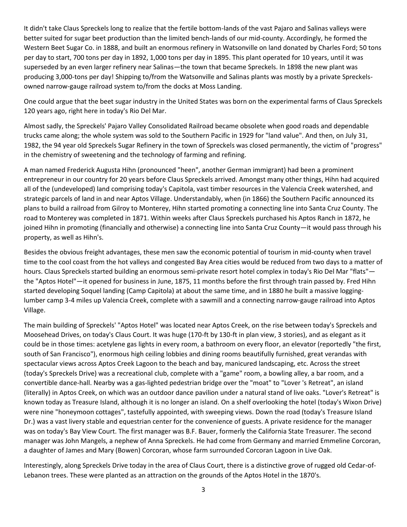It didn't take Claus Spreckels long to realize that the fertile bottom-lands of the vast Pajaro and Salinas valleys were better suited for sugar beet production than the limited bench-lands of our mid-county. Accordingly, he formed the Western Beet Sugar Co. in 1888, and built an enormous refinery in Watsonville on land donated by Charles Ford; 50 tons per day to start, 700 tons per day in 1892, 1,000 tons per day in 1895. This plant operated for 10 years, until it was superseded by an even larger refinery near Salinas—the town that became Spreckels. In 1898 the new plant was producing 3,000-tons per day! Shipping to/from the Watsonville and Salinas plants was mostly by a private Spreckelsowned narrow-gauge railroad system to/from the docks at Moss Landing.

One could argue that the beet sugar industry in the United States was born on the experimental farms of Claus Spreckels 120 years ago, right here in today's Rio Del Mar.

Almost sadly, the Spreckels' Pajaro Valley Consolidated Railroad became obsolete when good roads and dependable trucks came along; the whole system was sold to the Southern Pacific in 1929 for "land value". And then, on July 31, 1982, the 94 year old Spreckels Sugar Refinery in the town of Spreckels was closed permanently, the victim of "progress" in the chemistry of sweetening and the technology of farming and refining.

A man named Frederick Augusta Hihn (pronounced "heen", another German immigrant) had been a prominent entrepreneur in our country for 20 years before Claus Spreckels arrived. Amongst many other things, Hihn had acquired all of the (undeveloped) land comprising today's Capitola, vast timber resources in the Valencia Creek watershed, and strategic parcels of land in and near Aptos Village. Understandably, when (in 1866) the Southern Pacific announced its plans to build a railroad from Gilroy to Monterey, Hihn started promoting a connecting line into Santa Cruz County. The road to Monterey was completed in 1871. Within weeks after Claus Spreckels purchased his Aptos Ranch in 1872, he joined Hihn in promoting (financially and otherwise) a connecting line into Santa Cruz County—it would pass through his property, as well as Hihn's.

Besides the obvious freight advantages, these men saw the economic potential of tourism in mid-county when travel time to the cool coast from the hot valleys and congested Bay Area cities would be reduced from two days to a matter of hours. Claus Spreckels started building an enormous semi-private resort hotel complex in today's Rio Del Mar "flats" the "Aptos Hotel"—it opened for business in June, 1875, 11 months before the first through train passed by. Fred Hihn started developing Soquel landing (Camp Capitola) at about the same time, and in 1880 he built a massive logginglumber camp 3-4 miles up Valencia Creek, complete with a sawmill and a connecting narrow-gauge railroad into Aptos Village.

The main building of Spreckels' "Aptos Hotel" was located near Aptos Creek, on the rise between today's Spreckels and Moosehead Drives, on today's Claus Court. It was huge (170-ft by 130-ft in plan view, 3 stories), and as elegant as it could be in those times: acetylene gas lights in every room, a bathroom on every floor, an elevator (reportedly "the first, south of San Francisco"), enormous high ceiling lobbies and dining rooms beautifully furnished, great verandas with spectacular views across Aptos Creek Lagoon to the beach and bay, manicured landscaping, etc. Across the street (today's Spreckels Drive) was a recreational club, complete with a "game" room, a bowling alley, a bar room, and a convertible dance-hall. Nearby was a gas-lighted pedestrian bridge over the "moat" to "Lover 's Retreat", an island (literally) in Aptos Creek, on which was an outdoor dance pavilion under a natural stand of live oaks. "Lover's Retreat" is known today as Treasure Island, although it is no longer an island. On a shelf overlooking the hotel (today's Wixon Drive) were nine "honeymoon cottages", tastefully appointed, with sweeping views. Down the road (today's Treasure Island Dr.) was a vast livery stable and equestrian center for the convenience of guests. A private residence for the manager was on today's Bay View Court. The first manager was B.F. Bauer, formerly the California State Treasurer. The second manager was John Mangels, a nephew of Anna Spreckels. He had come from Germany and married Emmeline Corcoran, a daughter of James and Mary (Bowen) Corcoran, whose farm surrounded Corcoran Lagoon in Live Oak.

Interestingly, along Spreckels Drive today in the area of Claus Court, there is a distinctive grove of rugged old Cedar-of-Lebanon trees. These were planted as an attraction on the grounds of the Aptos Hotel in the 1870's.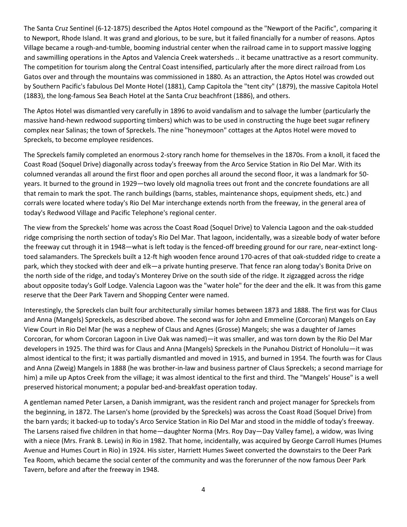The Santa Cruz Sentinel (6-12-1875) described the Aptos Hotel compound as the "Newport of the Pacific", comparing it to Newport, Rhode Island. It was grand and glorious, to be sure, but it failed financially for a number of reasons. Aptos Village became a rough-and-tumble, booming industrial center when the railroad came in to support massive logging and sawmilling operations in the Aptos and Valencia Creek watersheds .. it became unattractive as a resort community. The competition for tourism along the Central Coast intensified, particularly after the more direct railroad from Los Gatos over and through the mountains was commissioned in 1880. As an attraction, the Aptos Hotel was crowded out by Southern Pacific's fabulous Del Monte Hotel (1881), Camp Capitola the "tent city" (1879), the massive Capitola Hotel (1883), the long-famous Sea Beach Hotel at the Santa Cruz beachfront (1886), and others.

The Aptos Hotel was dismantled very carefully in 1896 to avoid vandalism and to salvage the lumber (particularly the massive hand-hewn redwood supporting timbers) which was to be used in constructing the huge beet sugar refinery complex near Salinas; the town of Spreckels. The nine "honeymoon" cottages at the Aptos Hotel were moved to Spreckels, to become employee residences.

The Spreckels family completed an enormous 2-story ranch home for themselves in the 1870s. From a knoll, it faced the Coast Road (Soquel Drive) diagonally across today's freeway from the Arco Service Station in Rio Del Mar. With its columned verandas all around the first floor and open porches all around the second floor, it was a landmark for 50 years. It burned to the ground in 1929—two lovely old magnolia trees out front and the concrete foundations are all that remain to mark the spot. The ranch buildings (barns, stables, maintenance shops, equipment sheds, etc.) and corrals were located where today's Rio Del Mar interchange extends north from the freeway, in the general area of today's Redwood Village and Pacific Telephone's regional center.

The view from the Spreckels' home was across the Coast Road (Soquel Drive) to Valencia Lagoon and the oak-studded ridge comprising the north section of today's Rio Del Mar. That lagoon, incidentally, was a sizeable body of water before the freeway cut through it in 1948—what is left today is the fenced-off breeding ground for our rare, near-extinct longtoed salamanders. The Spreckels built a 12-ft high wooden fence around 170-acres of that oak-studded ridge to create a park, which they stocked with deer and elk—a private hunting preserve. That fence ran along today's Bonita Drive on the north side of the ridge, and today's Monterey Drive on the south side of the ridge. It zigzagged across the ridge about opposite today's Golf Lodge. Valencia Lagoon was the "water hole" for the deer and the elk. It was from this game reserve that the Deer Park Tavern and Shopping Center were named.

Interestingly, the Spreckels clan built four architecturally similar homes between 1873 and 1888. The first was for Claus and Anna (Mangels) Spreckels, as described above. The second was for John and Emmeline (Corcoran) Mangels on Eay View Court in Rio Del Mar (he was a nephew of Claus and Agnes (Grosse) Mangels; she was a daughter of James Corcoran, for whom Corcoran Lagoon in Live Oak was named)—it was smaller, and was torn down by the Rio Del Mar developers in 1925. The third was for Claus and Anna (Mangels) Spreckels in the Punahou District of Honolulu—it was almost identical to the first; it was partially dismantled and moved in 1915, and burned in 1954. The fourth was for Claus and Anna (Zweig) Mangels in 1888 (he was brother-in-law and business partner of Claus Spreckels; a second marriage for him) a mile up Aptos Creek from the village; it was almost identical to the first and third. The "Mangels' House" is a well preserved historical monument; a popular bed-and-breakfast operation today.

A gentleman named Peter Larsen, a Danish immigrant, was the resident ranch and project manager for Spreckels from the beginning, in 1872. The Larsen's home (provided by the Spreckels) was across the Coast Road (Soquel Drive) from the barn yards; it backed-up to today's Arco Service Station in Rio Del Mar and stood in the middle of today's freeway. The Larsens raised five children in that home—daughter Norma (Mrs. Roy Day—Day Valley fame), a widow, was living with a niece (Mrs. Frank B. Lewis) in Rio in 1982. That home, incidentally, was acquired by George Carroll Humes (Humes Avenue and Humes Court in Rio) in 1924. His sister, Harriett Humes Sweet converted the downstairs to the Deer Park Tea Room, which became the social center of the community and was the forerunner of the now famous Deer Park Tavern, before and after the freeway in 1948.